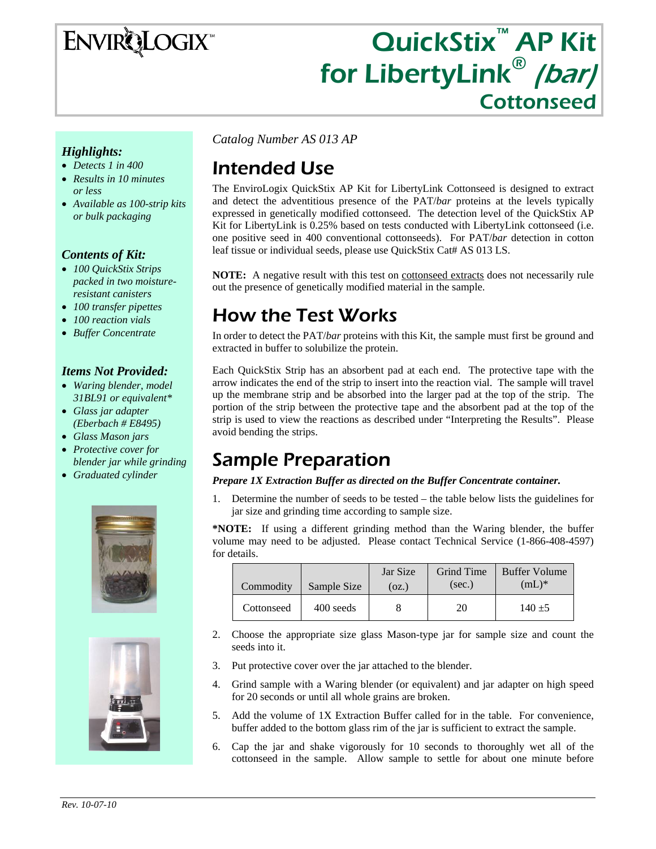## **ENVIRQLOGIX**

# QuickStix<sup>™</sup> AP Kit for LibertyLink<sup>®</sup> (bar)

#### *Highlights:*

- *Detects 1 in 400*
- *Results in 10 minutes or less*
- *Available as 100-strip kits or bulk packaging*

#### *Contents of Kit:*

- *100 QuickStix Strips packed in two moistureresistant canisters*
- *100 transfer pipettes*
- *100 reaction vials*
- *Buffer Concentrate*

#### *Items Not Provided:*

- *Waring blender, model 31BL91 or equivalent\**
- *Glass jar adapter (Eberbach # E8495)*
- *Glass Mason jars*
- *Protective cover for blender jar while grinding*
- *Graduated cylinder*





*Catalog Number AS 013 AP* 

## Intended Use

The EnviroLogix QuickStix AP Kit for LibertyLink Cottonseed is designed to extract and detect the adventitious presence of the PAT/*bar* proteins at the levels typically expressed in genetically modified cottonseed. The detection level of the QuickStix AP Kit for LibertyLink is 0.25% based on tests conducted with LibertyLink cottonseed (i.e. one positive seed in 400 conventional cottonseeds). For PAT/*bar* detection in cotton leaf tissue or individual seeds, please use QuickStix Cat# AS 013 LS.

**NOTE:** A negative result with this test on **cottonseed** extracts does not necessarily rule out the presence of genetically modified material in the sample.

#### How the Test Works

In order to detect the PAT/*bar* proteins with this Kit, the sample must first be ground and extracted in buffer to solubilize the protein.

Each QuickStix Strip has an absorbent pad at each end. The protective tape with the arrow indicates the end of the strip to insert into the reaction vial. The sample will travel up the membrane strip and be absorbed into the larger pad at the top of the strip. The portion of the strip between the protective tape and the absorbent pad at the top of the strip is used to view the reactions as described under "Interpreting the Results". Please avoid bending the strips.

#### Sample Preparation

*Prepare 1X Extraction Buffer as directed on the Buffer Concentrate container.* 

1. Determine the number of seeds to be tested – the table below lists the guidelines for jar size and grinding time according to sample size.

**\*NOTE:** If using a different grinding method than the Waring blender, the buffer volume may need to be adjusted. Please contact Technical Service (1-866-408-4597) for details.

| Commodity  | Sample Size | Jar Size<br>(oz.) | Grind Time<br>(sec.) | <b>Buffer Volume</b><br>$(mL)^*$ |
|------------|-------------|-------------------|----------------------|----------------------------------|
| Cottonseed | 400 seeds   |                   | 20                   | $140 + 5$                        |

- 2. Choose the appropriate size glass Mason-type jar for sample size and count the seeds into it.
- 3. Put protective cover over the jar attached to the blender.
- 4. Grind sample with a Waring blender (or equivalent) and jar adapter on high speed for 20 seconds or until all whole grains are broken.
- 5. Add the volume of 1X Extraction Buffer called for in the table. For convenience, buffer added to the bottom glass rim of the jar is sufficient to extract the sample.
- 6. Cap the jar and shake vigorously for 10 seconds to thoroughly wet all of the cottonseed in the sample. Allow sample to settle for about one minute before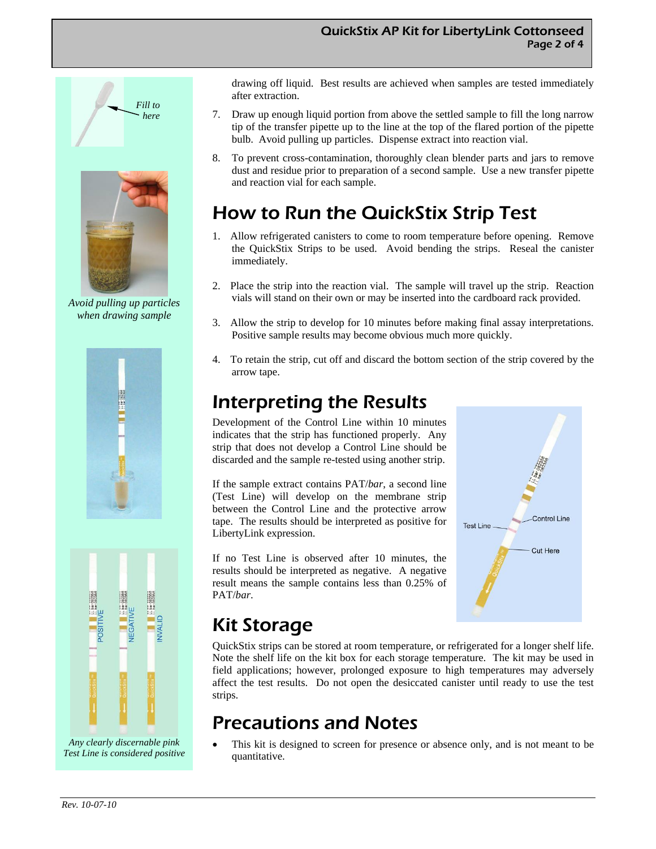

*Avoid pulling up particles when drawing sample* 





*Any clearly discernable pink Test Line is considered positive*  drawing off liquid. Best results are achieved when samples are tested immediately after extraction.

- 7. Draw up enough liquid portion from above the settled sample to fill the long narrow tip of the transfer pipette up to the line at the top of the flared portion of the pipette bulb. Avoid pulling up particles. Dispense extract into reaction vial.
- 8. To prevent cross-contamination, thoroughly clean blender parts and jars to remove dust and residue prior to preparation of a second sample. Use a new transfer pipette and reaction vial for each sample.

## How to Run the QuickStix Strip Test

- 1. Allow refrigerated canisters to come to room temperature before opening. Remove the QuickStix Strips to be used. Avoid bending the strips. Reseal the canister immediately.
- 2. Place the strip into the reaction vial. The sample will travel up the strip. Reaction vials will stand on their own or may be inserted into the cardboard rack provided.
- 3. Allow the strip to develop for 10 minutes before making final assay interpretations. Positive sample results may become obvious much more quickly.
- 4. To retain the strip, cut off and discard the bottom section of the strip covered by the arrow tape.

## Interpreting the Results

Development of the Control Line within 10 minutes indicates that the strip has functioned properly. Any strip that does not develop a Control Line should be discarded and the sample re-tested using another strip.

If the sample extract contains PAT/*bar*, a second line (Test Line) will develop on the membrane strip between the Control Line and the protective arrow tape. The results should be interpreted as positive for LibertyLink expression.

If no Test Line is observed after 10 minutes, the results should be interpreted as negative. A negative result means the sample contains less than 0.25% of PAT/*bar*.



#### Kit Storage

QuickStix strips can be stored at room temperature, or refrigerated for a longer shelf life. Note the shelf life on the kit box for each storage temperature. The kit may be used in field applications; however, prolonged exposure to high temperatures may adversely affect the test results. Do not open the desiccated canister until ready to use the test strips.

## Precautions and Notes

This kit is designed to screen for presence or absence only, and is not meant to be quantitative.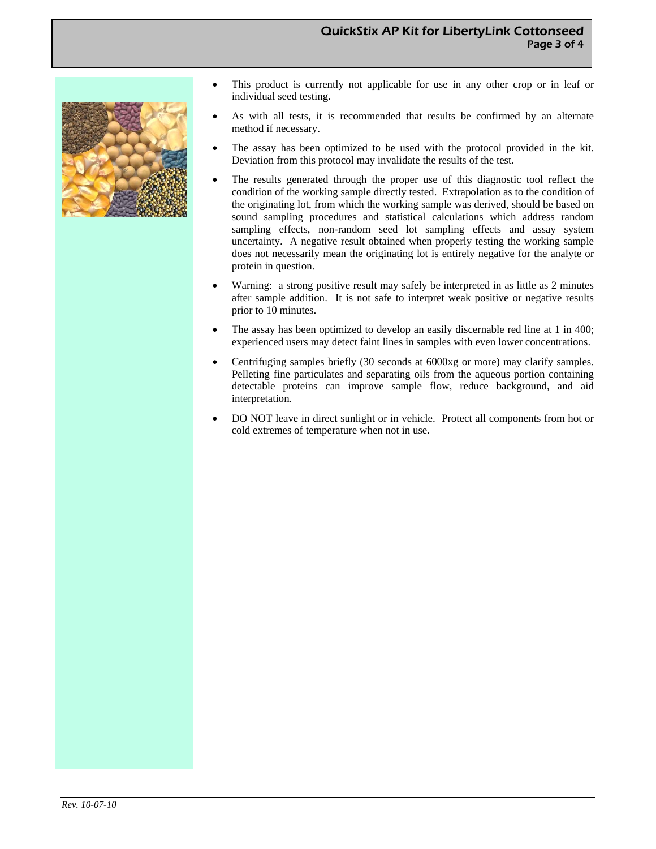

- This product is currently not applicable for use in any other crop or in leaf or individual seed testing.
- As with all tests, it is recommended that results be confirmed by an alternate method if necessary.
- The assay has been optimized to be used with the protocol provided in the kit. Deviation from this protocol may invalidate the results of the test.
- The results generated through the proper use of this diagnostic tool reflect the condition of the working sample directly tested. Extrapolation as to the condition of the originating lot, from which the working sample was derived, should be based on sound sampling procedures and statistical calculations which address random sampling effects, non-random seed lot sampling effects and assay system uncertainty. A negative result obtained when properly testing the working sample does not necessarily mean the originating lot is entirely negative for the analyte or protein in question.
- Warning: a strong positive result may safely be interpreted in as little as 2 minutes after sample addition. It is not safe to interpret weak positive or negative results prior to 10 minutes.
- The assay has been optimized to develop an easily discernable red line at 1 in 400; experienced users may detect faint lines in samples with even lower concentrations.
- Centrifuging samples briefly (30 seconds at 6000xg or more) may clarify samples. Pelleting fine particulates and separating oils from the aqueous portion containing detectable proteins can improve sample flow, reduce background, and aid interpretation.
- DO NOT leave in direct sunlight or in vehicle. Protect all components from hot or cold extremes of temperature when not in use.